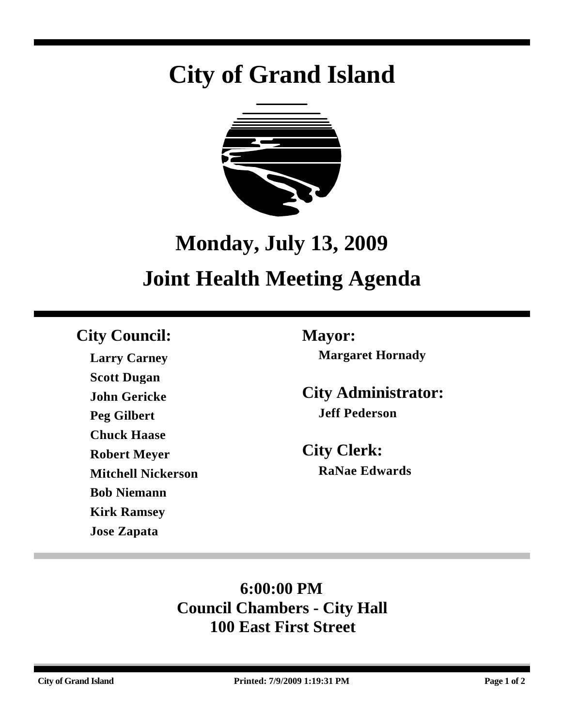# **City of Grand Island**



# **Monday, July 13, 2009 Joint Health Meeting Agenda**

# **City Council: Mayor:**

**Larry Carney Scott Dugan John Gericke Peg Gilbert Chuck Haase Robert Meyer Mitchell Nickerson Bob Niemann Kirk Ramsey Jose Zapata**

**Margaret Hornady**

**City Administrator: Jeff Pederson**

**City Clerk: RaNae Edwards**

# **6:00:00 PM Council Chambers - City Hall 100 East First Street**